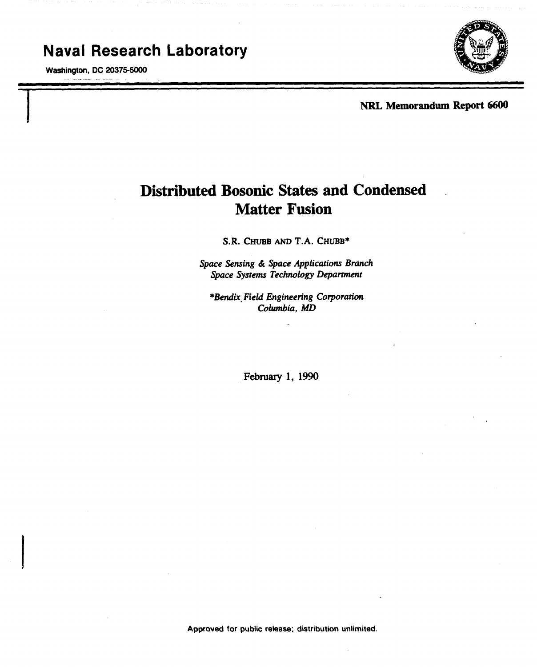## Naval Research Laboratory

Washington, DC 20375-5000

I



-

NRL Memorandum Report 6600

# Distributed Bosonic States and Condensed Matter Fusion

S.R. CHUBB AND T.A. CHUBB\*

*Space Sensing & Space Applications Branch Space Systems Technology Department*

*\*Bendix Field Engineering Corporation Columbia, MD*

February 1, 1990

Approved for public release; distribution unlimited.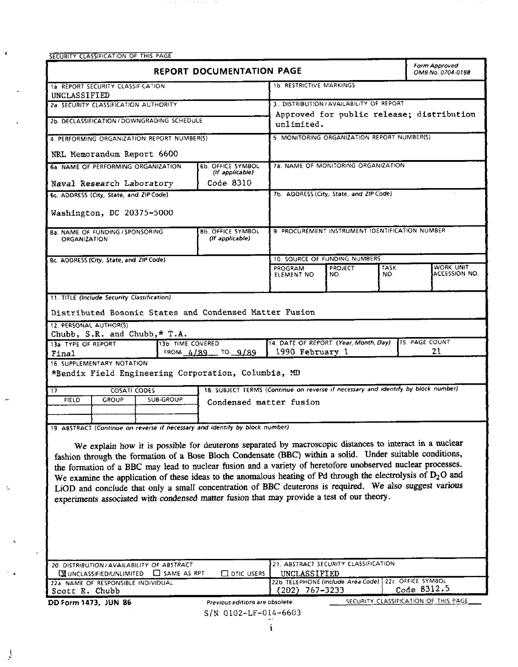| SECURITY CLASSIFICATION OF THIS PAGE |  |  |
|--------------------------------------|--|--|

 $\hat{\mathbf{r}}$ 

i.

 $\sim$ 

 $\Delta$ 

 $\frac{1}{2}$ 

 $\sim$   $\alpha$ 

 $\frac{1}{2}$ 

 $\mathbb{R}^2$ 

 $\mathcal{O}(2\pi)$  and  $\mathcal{O}(2\pi)$  . The set of the set of the set of the  $\mathcal{O}(2\pi)$ 

|                                                                                                                                                                                                       | <b>REPORT DOCUMENTATION PAGE</b>                                                  |                                                                       |                |              | Form Approved<br>OMB No. 0704-0188   |  |
|-------------------------------------------------------------------------------------------------------------------------------------------------------------------------------------------------------|-----------------------------------------------------------------------------------|-----------------------------------------------------------------------|----------------|--------------|--------------------------------------|--|
| 1a. REPORT SECURITY CLASSIFICATION<br>UNCLASSIFIED                                                                                                                                                    |                                                                                   | 1b. RESTRICTIVE MARKINGS                                              |                |              |                                      |  |
| 2a. SECURITY CLASSIFICATION AUTHORITY                                                                                                                                                                 |                                                                                   | 3. DISTRIBUTION/AVAILABILITY OF REPORT                                |                |              |                                      |  |
|                                                                                                                                                                                                       |                                                                                   | Approved for public release; distribution                             |                |              |                                      |  |
| 2b. DECLASSIFICATION / DOWNGRADING SCHEDULE                                                                                                                                                           |                                                                                   | unlimited.                                                            |                |              |                                      |  |
| 4. PERFORMING ORGANIZATION REPORT NUMBER(5)                                                                                                                                                           |                                                                                   | 5. MONITORING ORGANIZATION REPORT NUMBER(S)                           |                |              |                                      |  |
| NRL Memorandum Report 6600                                                                                                                                                                            |                                                                                   |                                                                       |                |              |                                      |  |
| 6a. NAME OF PERFORMING ORGANIZATION                                                                                                                                                                   | 6b OFFICE SYMBOL<br>(if applicable)                                               | 7a. NAME OF MONITORING ORGANIZATION                                   |                |              |                                      |  |
| Naval Research Laboratory                                                                                                                                                                             | Code 8310                                                                         |                                                                       |                |              |                                      |  |
| 6c. ADDRESS (City, State, and ZIP Code)                                                                                                                                                               |                                                                                   | 7b. ADDRESS (City, State, and ZIP Code)                               |                |              |                                      |  |
| Washington, DC 20375-5000                                                                                                                                                                             |                                                                                   |                                                                       |                |              |                                      |  |
| <b>Ba. NAME OF FUNDING / SPONSORING</b><br>ORGANIZATION                                                                                                                                               | <b>8b. OFFICE SYMBOL</b><br>(If applicable)                                       | 9. PROCUREMENT INSTRUMENT IDENTIFICATION NUMBER                       |                |              |                                      |  |
| Bc. ADDRESS (City, State, and ZIP Code)                                                                                                                                                               |                                                                                   | 10. SOURCE OF FUNDING NUMBERS                                         |                |              |                                      |  |
|                                                                                                                                                                                                       |                                                                                   | PROGRAM                                                               | <b>PROJECT</b> | TASK.<br>NO. | WORK UNIT<br>ACCESSION NO.           |  |
|                                                                                                                                                                                                       |                                                                                   | ELEMENT NO.                                                           | NO.            |              |                                      |  |
| 11. TITLE (include Security Classification)                                                                                                                                                           |                                                                                   |                                                                       |                |              |                                      |  |
| Distributed Bosonic States and Condensed Matter Fusion                                                                                                                                                |                                                                                   |                                                                       |                |              |                                      |  |
| 12. PERSONAL AUTHOR(S)                                                                                                                                                                                |                                                                                   |                                                                       |                |              |                                      |  |
| Chubb, S.R. and Chubb, $*$ T.A.                                                                                                                                                                       |                                                                                   |                                                                       |                |              | 15. PAGE COUNT                       |  |
| 13a. TYPE OF REPORT<br>13b. TIME COVERED<br>Final                                                                                                                                                     | FROM 4/89 TO 9/89                                                                 | 14. DATE OF REPORT (Year, Month, Day)<br>1990 February 1              |                |              | 21                                   |  |
| 16. SUPPLEMENTARY NOTATION<br>*Bendix Field Engineering Corporation, Columbia, MD                                                                                                                     |                                                                                   |                                                                       |                |              |                                      |  |
| COSATI CODES<br>17                                                                                                                                                                                    | 18. SUBJECT TERMS (Continue on reverse if necessary and identify by block number) |                                                                       |                |              |                                      |  |
| SUB-GROUP<br><b>FIELD</b><br>GROUP                                                                                                                                                                    |                                                                                   |                                                                       |                |              |                                      |  |
|                                                                                                                                                                                                       | Condensed matter fusion                                                           |                                                                       |                |              |                                      |  |
| 19 ABSTRACT (Continue on reverse if necessary and identify by block number)                                                                                                                           |                                                                                   |                                                                       |                |              |                                      |  |
|                                                                                                                                                                                                       |                                                                                   |                                                                       |                |              |                                      |  |
| We explain how it is possible for deuterons separated by macroscopic distances to interact in a nuclear                                                                                               |                                                                                   |                                                                       |                |              |                                      |  |
| fashion through the formation of a Bose Bloch Condensate (BBC) within a solid. Under suitable conditions,                                                                                             |                                                                                   |                                                                       |                |              |                                      |  |
| the formation of a BBC may lead to nuclear fusion and a variety of heretofore unobserved nuclear processes.                                                                                           |                                                                                   |                                                                       |                |              |                                      |  |
| We examine the application of these ideas to the anomalous heating of Pd through the electrolysis of $D_2O$ and                                                                                       |                                                                                   |                                                                       |                |              |                                      |  |
| LiOD and conclude that only a small concentration of BBC deuterons is required. We also suggest various<br>experiments associated with condensed matter fusion that may provide a test of our theory. |                                                                                   |                                                                       |                |              |                                      |  |
|                                                                                                                                                                                                       |                                                                                   |                                                                       |                |              |                                      |  |
|                                                                                                                                                                                                       |                                                                                   |                                                                       |                |              |                                      |  |
|                                                                                                                                                                                                       |                                                                                   |                                                                       |                |              |                                      |  |
|                                                                                                                                                                                                       |                                                                                   |                                                                       |                |              |                                      |  |
|                                                                                                                                                                                                       |                                                                                   |                                                                       |                |              |                                      |  |
| 20. DISTRIBUTION / AVAILABILITY OF ABSTRACT                                                                                                                                                           |                                                                                   | 21. ABSTRACT SECURITY CLASSIFICATION                                  |                |              |                                      |  |
| <b>WUNCLASSIFIED/UNLIMITED</b><br>$\Box$ SAME AS RPT<br>22a NAME OF RESPONSIBLE INDIVIDUAL                                                                                                            | $\square$ DTIC USERS                                                              | UNCLASSIFIED<br>22b. TELEPHONE (Include Area Code) 22c. OFFICE SYMBOL |                |              |                                      |  |
| Scott R. Chubb                                                                                                                                                                                        |                                                                                   | $(202)$ 767-3233                                                      |                |              | Code 8312.5                          |  |
| DD Form 1473, JUN 86                                                                                                                                                                                  | Previous editions are obsolete.                                                   |                                                                       |                |              | SECURITY CLASSIFICATION OF THIS PAGE |  |

 $S/N$  0102-LF-014-6603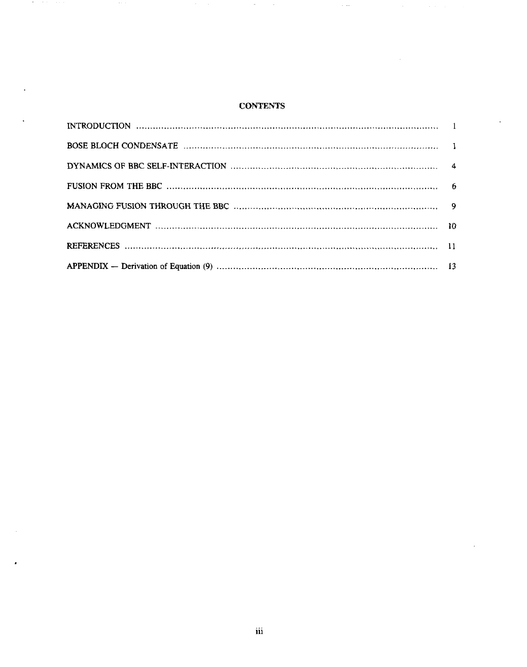## **CONTENTS**

 $\langle a \rangle$ 

 $\sim$ 

 $\sim$   $\ldots$ 

 $\sim$ 

an and

×

 $\sim$  0.0  $\sim$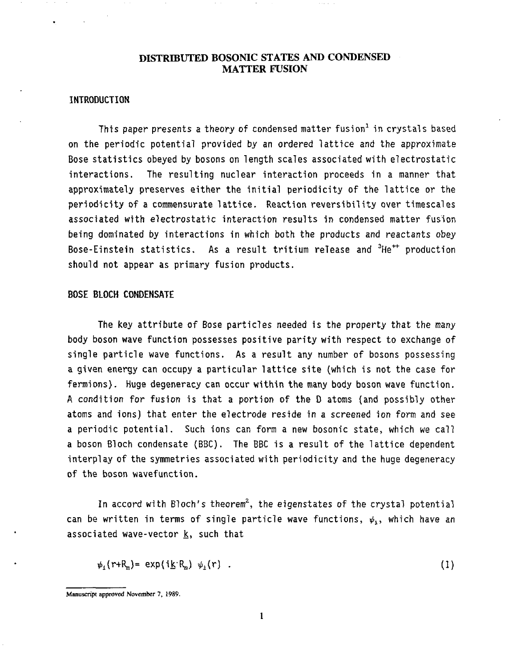### **DISTRIBUTED BOSONIC STATES AND CONDENSED MATTER FUSION**

#### INTRODUCTION

This paper presents a theory of condensed matter fusion $^1$  in crystals based on the periodic potential provided by an ordered lattice and the approximate Bose statistics obeyed by bosons on length scales associated with electrostatic interactions. The resulting nuclear interaction proceeds in a manner that approximately preserves either the initial periodicity of the lattice or the periodicity of a commensurate lattice. Reaction reversibility over timescales associated with electrostatic interaction results in condensed matter fusion being dominated by interactions in which both the products and reactants obey Bose-Einstein statistics. As a result tritium release and  ${}^{3}$ He<sup>++</sup> production should not appear as primary fusion products.

#### BOSE BLOCH CONDENSATE

The key attribute of Bose particles needed is the property that the many body boson wave function possesses positive parity with respect to exchange of single particle wave functions. As a result any number of bosons possessing a given energy can occupy a particular lattice site (which is not the case for fermions). Huge degeneracy can occur within the many body boson wave function. A condition for fusion is that a portion of the D atoms (and possibly other atoms and ions) that enter the electrode reside in a screened ion form and see a periodic potential. Such ions can form a new bosonic state, which we call a boson Bloch condensate (BBC). The BBC is a result of the lattice dependent interplay of the symmetries associated with periodicity and the huge degeneracy of the boson wavefunction.

In accord with Bloch's theorem<sup>2</sup>, the eigenstates of the crystal potential can be written in terms of single particle wave functions,  $\psi_i$ , which have an associated wave-vector  $k$ , such that

$$
\psi_1(r+R_n) = \exp(i\underline{k}R_n) \psi_1(r) \quad . \tag{1}
$$

Manuscript approved **November 7, 1989.**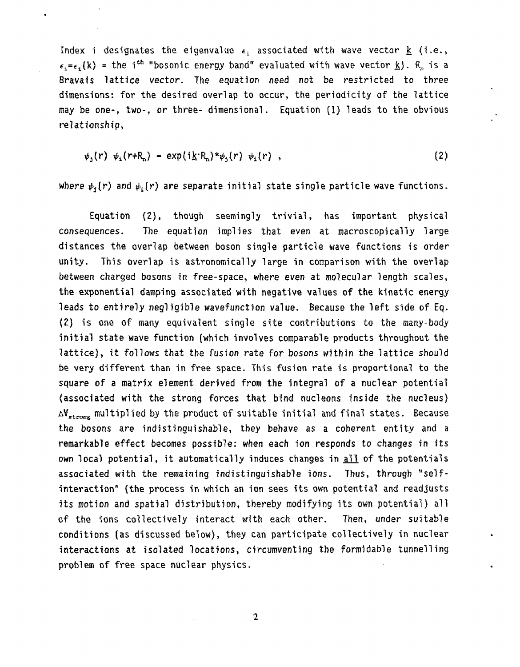Index i designates the eigenvalue  $\epsilon_1$  associated with wave vector  $\underline{k}$  (i.e.,  $\epsilon_i = \epsilon_i(k)$  = the i<sup>th</sup> "bosonic energy band" evaluated with wave vector  $\underline{k}$ ).  $R_n$  is a Bravais lattice vector. The equation need not be restricted to three dimensions: for the desired overlap to occur, the periodicity of the lattice may be one-, two-, or three- dimensional. Equation (1) leads to the obvious relationship,

 $\frac{1}{2}$ 

$$
\psi_{j}(r) \psi_{i}(r+R_{n}) = \exp(i\underline{k}R_{n}) \psi_{j}(r) \psi_{i}(r) , \qquad (2)
$$

where  $\psi_{\beta}(r)$  and  $\psi_{\beta}(r)$  are separate initial state single particle wave functions.

Equation (2), though seemingly trivial, has important physical The equation implies that even at macroscopically large consequences. distances the overlap between boson single particle wave functions is order unity. This overlap is astronomically large in comparison with the overlap between charged bosons in free-space, where even at molecular length scales, the exponential damping associated with negative values of the kinetic energy leads to entirely negligible wavefunction value. Because the left side of Eq. (2) is one of many equivalent single site contributions to the many-body initial state wave function (which involves comparable products throughout the lattice), it follows that the fusion rate for bosons within the lattice should be very different than in free space. This fusion rate is proportional to the square of a matrix element derived from the integral of a nuclear potential (associated with the strong forces that bind nucleons inside the nucleus)  $\Delta V_{strong}$  multiplied by the product of suitable initial and final states. Because the bosons are indistinguishable, they behave as a coherent entity and a remarkable effect becomes possible: when each ion responds to changes in its own local potential, it automatically induces changes in all of the potentials associated with the remaining indistinguishable ions. Thus, through "selfinteraction" (the process in which an ion sees its own potential and readjusts its motion and spatial distribution, thereby modifying its own potential) all of the ions collectively interact with each other. Then, under suitable conditions (as discussed below), they can participate collectively in nuclear interactions at isolated locations, circumventing the formidable tunnelling problem of free space nuclear physics.

 $\overline{2}$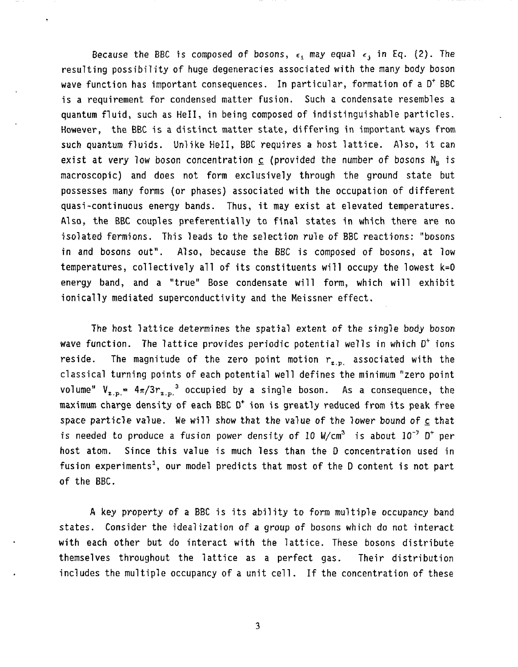Because the BBC is composed of bosons,  $\epsilon_i$  may equal  $\epsilon_j$  in Eq. (2). The resulting possibility of huge degeneracies associated with the many body boson wave function has important consequences. In particular, formation of a  $D^+$  BBC is a requirement for condensed matter fusion. Such a condensate resembles a quantum fluid, such as HeII, in being composed of indistinguishable particles. However, the BBC is a distinct matter state, differing in important ways from such quantum fluids. Unlike HeII, BBC requires a host lattice. Also, it can exist at very low boson concentration  $c$  (provided the number of bosons  $N_{B}$  is macroscopic) and does not form exclusively through the ground state but possesses many forms (or phases) associated with the occupation of different quasi-continuous energy bands. Thus, it may exist at elevated temperatures. Also, the BBC couples preferentially to final states in which there are no isolated fermions. This leads to the selection rule of BBC reactions: "bosons in and bosons out". Also, because the BBC is composed of bosons, at low temperatures, collectively all of its constituents will occupy the lowest k=O energy band, and a "true" Bose condensate will form, which will exhibit tonically mediated superconductivity and the Meissner effect.

The host lattice determines the spatial extent of the single body boson wave function. The lattice provides periodic potential wells in which  $D^+$  ions reside. The magnitude of the zero point motion  $r_{z,p}$  associated with the classical turning points of each potential well defines the minimum "zero point volume"  $V_{z,p} = 4\pi/3r_{z,p}^3$  occupied by a single boson. As a consequence, the maximum charge density of each BBC  $D<sup>+</sup>$  ion is greatly reduced from its peak free space particle value. We will show that the value of the lower bound of c that is needed to produce a fusion power density of 10 W/cm<sup>3</sup> is about  $10^{-7}$  D<sup>+</sup> per host atom. Since this value is much less than the D concentration used in fusion experiments', our model predicts that most of the D content is not part of the BBC.

A key property of a BEC is its ability to form multiple occupancy band states. Consider the idealization of a group of bosons which do not interact with each other but do interact with the lattice. These bosons distribute themselves throughout the lattice as a perfect gas. Their distribution includes the multiple occupancy of a unit cell. If the concentration of these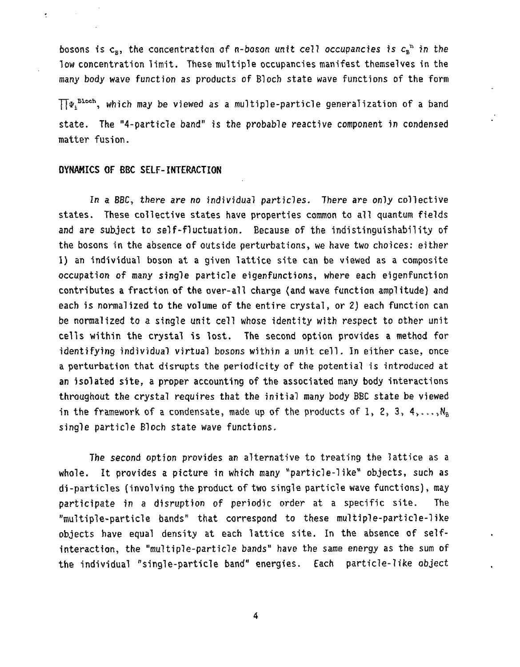bosons is  $c_{B}$ , the concentration of n-boson unit cell occupancies is  $c_{B}^{n}$  in the low concentration limit. These multiple occupancies manifest themselves in the many body wave function as products of Bloch state wave functions of the form

 $\prod \Psi_i^{ \text{ Bloch}}$ , which may be viewed as a multiple-particle generalization of a band state. The "4-particle band" is the probable reactive component in condensed matter fusion.

#### DYNAMICS OF BBC SELF-INTERACTION

 $\overline{\phantom{a}}$ 

In a BBC, there are *no* individual particles. There are only collective states. These collective states have properties common to all quantum fields and are subject to self-fluctuation. Because of the indistinguishability of the bosons in the absence of outside perturbations, we have two choices: either 1) an individual boson at a given lattice site can be viewed as a composite occupation of many single particle eigenfunctions, where each eigenfunction contributes a fraction of the over-all charge (and wave function amplitude) and each is normalized to the volume of the entire crystal, or 2) each function can be normalized to a single unit cell whose identity with respect to other unit cells within the crystal is lost. The second option provides a method for identifying individual virtual bosons within a unit cell. In either case, once a perturbation that disrupts the periodicity of the potential is introduced at an isolated site, a proper accounting of the associated many body interactions throughout the crystal requires that the initial many body BEC state be viewed in the framework of a condensate, made up of the products of 1, 2, 3, 4,..., $N_B$ single particle Bloch state wave functions.

The second option provides an alternative to treating the lattice as a whole. It provides a picture in which many "particle-like" objects, such as di-particles (involving the product of two single particle wave functions), may participate in a disruption of periodic order at a specific site. The "multiple-particle bands" that correspond to these multiple-particle-like objects have equal density at each lattice site. In the absence of selfinteraction, the "multiple-particle bands" have the same energy as the sum of the individual "single-particle band" energies. Each particle-like object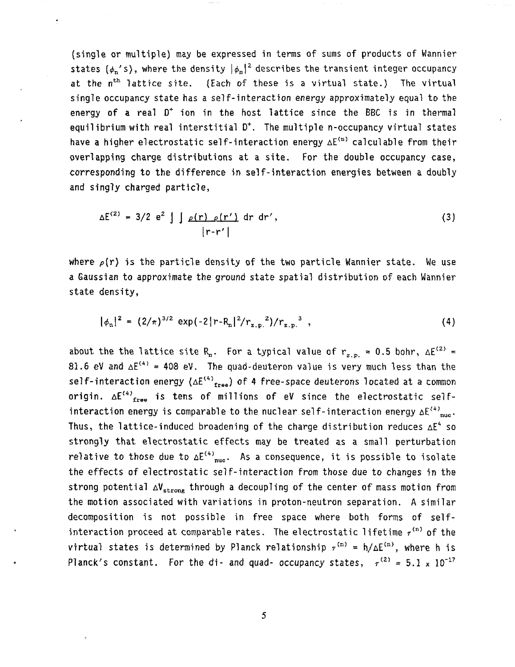(single or multiple) may be expressed in terms of sums of products of Wannier states  $(\phi_n' s)$ , where the density  $|\phi_n|^2$  describes the transient integer occupancy at the n<sup>th</sup> lattice site. (Each of these is a virtual state.) The virtual single occupancy state has a self-interaction energy approximately equal to the energy of a real  $D^+$  ion in the host lattice since the BBC is in thermal equilibrium with real interstitial  $D^*$ . The multiple n-occupancy virtual states have a higher electrostatic self-interaction energy  $\Delta E^{(m)}$  calculable from their overlapping charge distributions at a site. For the double occupancy case, corresponding to the difference in self-interaction energies between a doubly and singly charged particle,

$$
\Delta E^{(2)} = 3/2 e^2 \int \int \rho(r) \rho(r') dr dr', \qquad (3)
$$

where  $\rho(r)$  is the particle density of the two particle Wannier state. We use a Gaussian to approximate the ground state spatial distribution of each Wannier state density,

$$
|\phi_n|^2 = (2/\pi)^{3/2} \exp(-2|r - R_n|^2/r_{z,p}^2)/r_{z,p}^3 , \qquad (4)
$$

about the the lattice site R<sub>n</sub>. For a typical value of  $r_{z,p} = 0.5$  bohr,  $\Delta E^{(2)} =$ 81.6 eV and  $\Delta E^{(4)} = 408$  eV. The quad-deuteron value is very much less than the self-interaction energy  $(\Delta E^{(4)})_{\text{free}}$ ) of 4 free-space deuterons located at a common origin.  $\Delta E^{(4)}$ <sub>free</sub> is tens of millions of eV since the electrostatic selfinteraction energy is comparable to the nuclear self-interaction energy  $\Delta E^{(4)}$ <sub>nuc</sub>. Thus, the lattice-induced broadening of the charge distribution reduces  $\Delta E^4$  so strongly that electrostatic effects may be treated as a small perturbation relative to those due to  $\Delta E^{(4)}_{nuc}$ . As a consequence, it is possible to isolate the effects of electrostatic self-interaction from those due to changes in the strong potential  $\Delta V_{\text{strong}}$  through a decoupling of the center of mass motion from the motion associated with variations in proton-neutron separation. A similar decomposition is not possible in free space where both forms of selfinteraction proceed at comparable rates. The electrostatic lifetime  $r^{(n)}$  of the virtual states is determined by Planck relationship  $\tau^{(n)} = h/\Delta E^{(n)}$ , where h is Planck's constant. For the di- and quad- occupancy states,  $r^{(2)} = 5.1 \times 10^{-17}$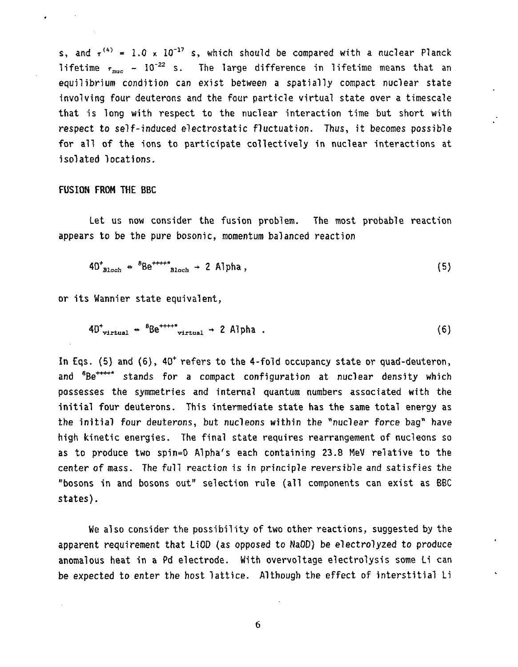s, and  $r^{(4)} = 1.0 \times 10^{-17}$  s, which should be compared with a nuclear Planck lifetime  $r_{\text{max}} \sim 10^{-22}$  s. The large difference in lifetime means that an equilibrium condition can exist between a spatially compact nuclear state involving four deuterons and the four particle virtual state over a timescale that is long with respect to the nuclear interaction time but short with respect to self-induced electrostatic fluctuation. Thus, it becomes possible for all of the ions to participate collectively in nuclear interactions at isolated locations.

#### FUSION FROM THE BBC

Let us now consider the fusion problem. The most probable reaction appears to be the pure bosonic, momentum balanced reaction

$$
40^{\dagger}_{\text{Bloch}} \triangleq {}^{8}\text{Be}^{+++*}_{\text{Bloch}} \rightarrow 2 \text{ Alpha}, \qquad (5)
$$

or its Wannier state equivalent,

$$
40^{\dagger}_{\text{virtual}} \triangleq {}^{6}\text{Be}^{\dagger\text{++}\dagger}{}_{\text{virtual}} \rightarrow 2 \text{ Alpha} . \tag{6}
$$

In Eqs. (5) and (6),  $40<sup>+</sup>$  refers to the 4-fold occupancy state or quad-deuteron, and <sup>8</sup>Be<sup>\*\*\*\*\*</sup> stands for a compact configuration at nuclear density which possesses the symmetries and internal quantum numbers associated with the initial four deuterons. This intermediate state has the same total energy as the initial four deuterons, but nucleons within the "nuclear force bag' have high kinetic energies. The final state requires rearrangement of nucleons so as to produce two spin=0 Alpha's each containing 23.8 MeV relative to the center of mass. The full reaction is in principle reversible and satisfies the 'bosons in and bosons out" selection rule (all components can exist as BBC states).

We also consider the possibility of two other reactions, suggested by the apparent requirement that LiOD (as opposed to NaOD) be electrolyzed to produce anomalous heat in a Pd electrode. With overvoltage electrolysis some Li can be expected to enter the host lattice. Although the effect of interstitial Li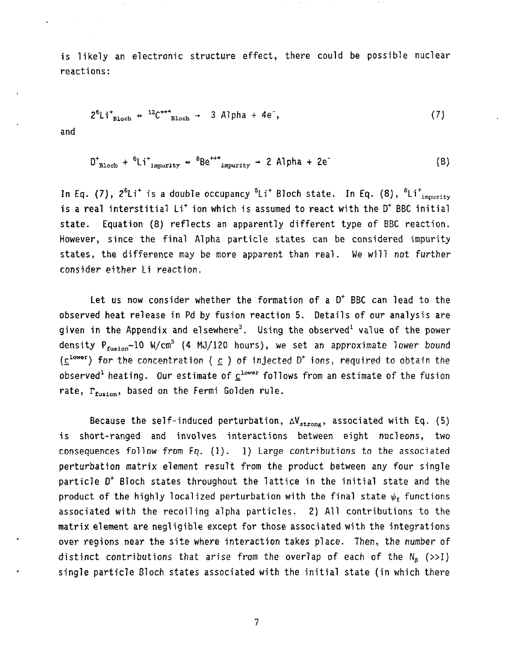is likely an electronic structure effect, there could be possible nuclear reactions:

$$
2^{6}Li_{\text{Bloch}}^+ \leftarrow \frac{12}{c^{++}}_{\text{Bloch}}^+ \leftarrow 3 \text{ Alpha} + 4e^-, \qquad (7)
$$

and

$$
D^{\dagger}_{\text{Bloch}} + {}^{6}\text{Li}^{\dagger}_{\text{impurity}} \rightarrow {}^{8}\text{Be}^{++}{}_{\text{impurity}} \rightarrow 2 \text{Alpha} + 2e^{-}
$$
 (8)

In Eq. (7),  $2^{6}$ Li<sup>+</sup> is a double occupancy  $^{6}$ Li<sup>+</sup> Bloch state. In Eq. (8),  $^{6}$ Li<sup>+</sup><sub>impurity</sub> is a real interstitial  $Li^+$  ion which is assumed to react with the  $D^+$  BBC initial state. Equation (8) reflects an apparently different type of BBC reaction. However, since the final Alpha particle states can be considered impurity states, the difference may be more apparent than real. We will not further consider either Li reaction.

Let us now consider whether the formation of a  $D^+$  BBC can lead to the observed heat release in Pd by fusion reaction 5. Details of our analysis are given in the Appendix and elsewhere<sup>3</sup>. Using the observed<sup>1</sup> value of the power density P<sub>fusion</sub>~10 W/cm<sup>3</sup> (4 MJ/120 hours), we set an approximate lower bound  $(\underline{c}^{lower})$  for the concentration  $(\underline{c})$  of injected  $D^*$  ions, required to obtain the observed<sup>1</sup> heating. Our estimate of  $C^{lower}$  follows from an estimate of the fusion rate,  $\Gamma_{\text{fusion}}$ , based on the Fermi Golden rule.

Because the self-induced perturbation,  $\Delta V_{strong}$ , associated with Eq. (5) is short-ranged and involves interactions between eight nucleons, two consequences follow from Eq.  $(1)$ .  $1)$  Large contributions to the associated perturbation matrix element result from the product between any four single particle  $D^+$  Bloch states throughout the lattice in the initial state and the product of the highly localized perturbation with the final state  $\psi_f$  functions associated with the recoiling alpha particles. 2) All contributions to the matrix element are negligible except for those associated with the integrations over regions near the site where interaction takes place. Then, the number of distinct contributions that arise from the overlap of each of the  $N_{\rm g}$  (>>1) single particle Bloch states associated with the initial state (in which there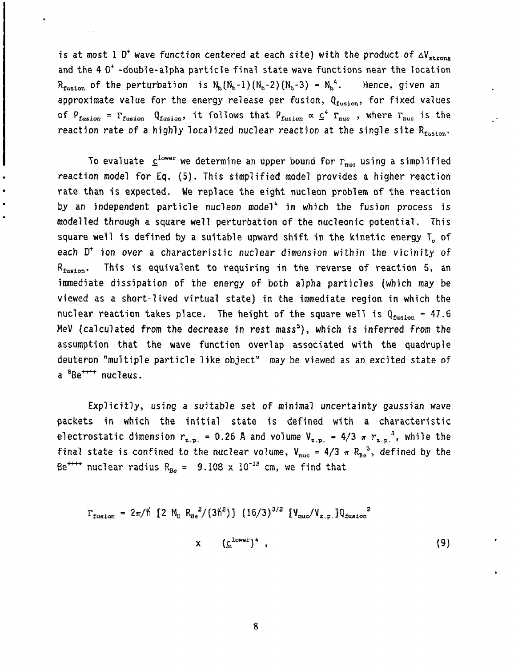is at most 1  $D^+$  wave function centered at each site) with the product of  $\Delta V_{\rm strong}$ and the  $4.0<sup>+</sup>$  -double-alpha particle final state wave functions near the location  $R_{\text{fusion}}$  of the perturbation is  $N_{\text{b}}(N_{\text{b}}-1)(N_{\text{b}}-2)(N_{\text{b}}-3) = N_{\text{b}}^4$ . Hence, given an approximate value for the energy release per fusion, Qfusion, for fixed values of  $P_{fusion} = \Gamma_{fusion}$   $Q_{fusion}$ , it follows that  $P_{fusion} \propto \mathcal{Q}^4$   $\Gamma_{nuc}$ , where  $\Gamma_{nuc}$  is the reaction rate of a highly localized nuclear reaction at the single site  $R_{fusion}$ .

To evaluate  $\underline{c}^{\text{lower}}$  we determine an upper bound for  $\Gamma_{\text{nuca}}$  using a simplified reaction model for Eq. (5). This simplified model provides a higher reaction rate than is expected. We replace the eight nucleon problem of the reaction by an independent particle nucleon model<sup>4</sup> in which the fusion process is modelled through a square well perturbation of the nucleonic potential. This square well is defined by a suitable upward shift in the kinetic energy T of each D<sup>+</sup> ion over a characteristic nuclear dimension within the vicinity of This is equivalent to requiring in the reverse of reaction 5, an  $R_{\rm{fusion}}$ . immediate dissipation of the energy of both alpha particles (which may be viewed as a short-lived virtual state) in the immediate region in which the nuclear reaction takes place. The height of the square well is  $Q_{\text{fusion}} = 47.6$ MeV (calculated from the decrease in rest mass<sup>5</sup>), which is inferred from the assumption that the wave function overlap associated with the quadruple deuteron "multiple particle like object" may be viewed as an excited state of a <sup>8</sup>Be<sup>++++</sup> nucleus.

Explicitly, using a suitable set of minimal uncertainty gaussian wave packets in which the initial state is defined with a characteristic electrostatic dimension  $r_{z,n} = 0.26$  Å and volume  $V_{z,n} = 4/3 \pi r_{z,n}^3$ , while the final state is confined to the nuclear volume,  $V_{\text{nuc}} = 4/3 \pi R_{\text{Be}}^3$ , defined by the Be<sup>++++</sup> nuclear radius  $R_{Be} = 9.108 \times 10^{-13}$  cm, we find that

 $\Gamma_{\text{fusion}} = 2\pi/\hbar [2 M_p R_{\text{Be}}^2/(3\hbar^2)] (16/3)^{3/2} [V_{\text{nu}}/V_{\text{z.p.}}]Q_{\text{fusion}}^2$ 

$$
x \t\t\t (\underline{c}^{lower})^4 , \t\t\t\t(9)
$$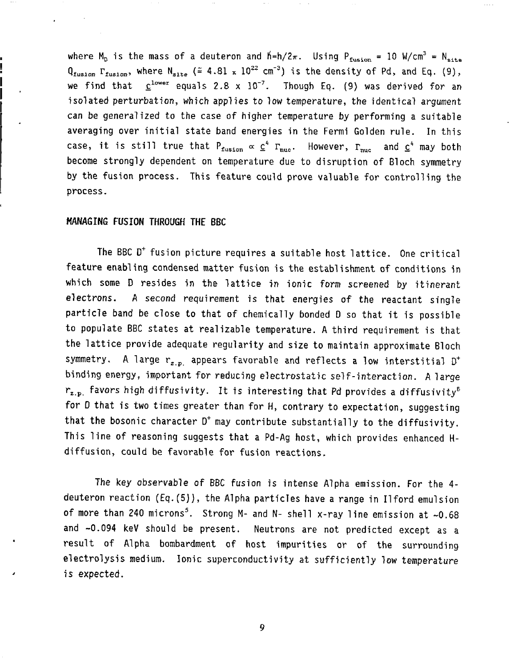where M<sub>n</sub> is the mass of a deuteron and  $h=h/2\pi$ . Using  $P_{fusion} = 10$  W/cm<sup>3</sup> = N<sub>site</sub>  $Q_{fusion}$   $\Gamma_{fusion}$ , where  $N_{site}$  ( $\tilde{=}$  4.81 x 10<sup>22</sup> cm<sup>-3</sup>) is the density of Pd, and Eq. (9), we find that  $\underline{c}^{lower}$  equals 2.8 x  $10^{-7}$ . Though Eq. (9) was derived for an isolated perturbation, which applies to low temperature, the identical argument can be generalized to the case of higher temperature by performing a suitable averaging over initial state band energies in the Fermi Golden rule. In this case, it is still true that  $P_{fusion} \propto C^4$   $\Gamma_{nuc}$ . However,  $\Gamma_{nuc}$  and  $C^4$  may both become strongly dependent on temperature due to disruption of Bloch symmetry by the fusion process. This feature could prove valuable for controlling the process.

#### MANAGING **FUSION** THROUGH **THE** BBC

The BBC  $D^+$  fusion picture requires a suitable host lattice. One critical feature enabling condensed matter fusion is the establishment of conditions in which some D resides in the lattice in ionic form screened by itinerant electrons. A second requirement is that energies of the reactant single particle band be close to that of chemically bonded D so that it is possible to populate BBC states at realizable temperature. A third requirement is that the lattice provide adequate regularity and size to maintain approximate Bloch symmetry. A large  $r_{z, p}$  appears favorable and reflects a low interstitial  $D^+$ binding energy, important for reducing electrostatic self-interaction. A large  $r_{z,p}$  favors high diffusivity. It is interesting that Pd provides a diffusivity<sup>5</sup> for 0 that is two times greater than for H, contrary to expectation, suggesting that the bosonic character  $D^+$  may contribute substantially to the diffusivity. This line of reasoning suggests that a Pd-Ag host, which provides enhanced Hdiffusion, could be favorable for fusion reactions.

The key observable of BBC fusion is intense Alpha emission. For the 4 deuteron reaction (Eq.(5)), the Alpha particles have a range in Ilford emulsion of more than 240 microns<sup>5</sup>. Strong M- and N- shell x-ray line emission at  $\sim 0.68$ and -0.094 keV should be present. Neutrons are not predicted except as a result of Alpha bombardment of host impurities or of the surrounding electrolysis medium. Ionic superconductivity at sufficiently low temperature is expected.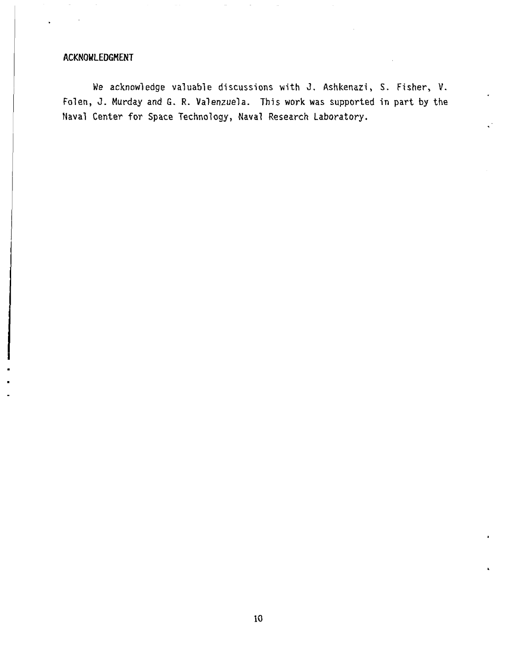### ACKNOWLEDGMENT

We acknowledge valuable discussions with J. Ashkenazi, S. Fisher, V. Folen, J. Murday and G. R. Valenzuela. This work was supported in part by the Naval Center for Space Technology, Naval Research Laboratory.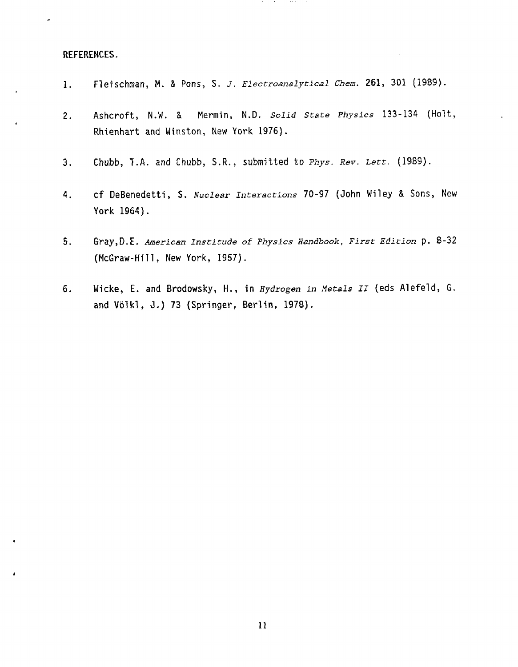#### REFERENCES.

- 1. Fleischman, M. & Pons, S. *J.* Electroanalytical Chem. 261, 301 (1989).
- 2. Ashcroft, N.W. & Mermin, N.D. Solid State Physics 133-134 (Holt, Rhienhart and Winston, New York 1976).
- 3. Chubb, T.A. and Chubb, S.R., submitted to Phys. *Rev. Lett.* (1989).
- 4. cf DeBenedetti, S. *Nuclear Interactions* 70-97 (John Wiley & Sons, New York 1964).
- S. Gray,D.E. *American Institude of Physics* Handbook, *First Edition* p. 8-32 (McGraw-Hill, New York, 1957).
- 6. Wicke, E. and Brodowsky, H., in *Hydrogen in Metals II* (eds Alefeld, G. and W6lkl, J.) 73 (Springer, Berlin, 1978).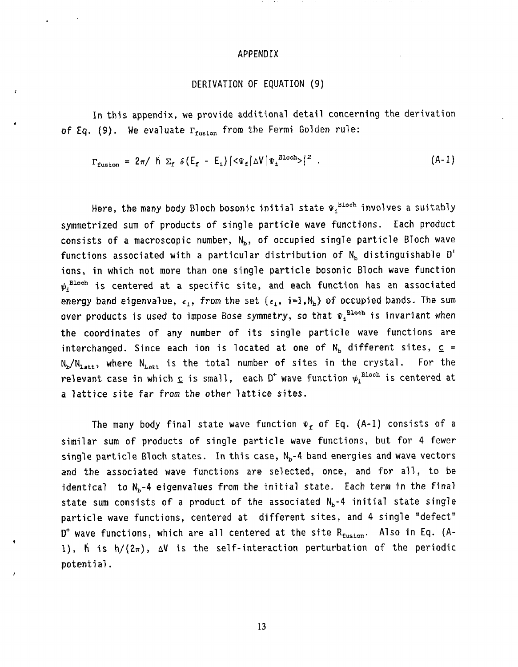#### APPENDIX

 $\mathcal{A}(\mathcal{A})=\mathcal{A}(\mathcal{A}(\mathcal{A}))=\mathcal{A}(\mathcal{A})$ 

#### DERIVATION OF EQUATION (9)

In this appendix, we provide additional detail concerning the derivation of Eq. (9). We evaluate  $\Gamma_{\text{fusion}}$  from the Fermi Golden rule:

$$
\Gamma_{\text{fusion}} = 2\pi / \, \text{h} \, \Sigma_{\text{f}} \, \delta \left( E_{\text{f}} - E_{\text{i}} \right) \left| \langle \Psi_{\text{f}} | \Delta V | \Psi_{\text{i}}^{\text{Bloch}} \rangle \right|^{2} \, . \tag{A-1}
$$

Here, the many body Bloch bosonic initial state  $\Psi_i^{\text{Bloch}}$  involves a suitably symmetrized sum of products of single particle wave functions. Each product consists of a macroscopic number,  $N_b$ , of occupied single particle Bloch wave functions associated with a particular distribution of  $N_b$  distinguishable D<sup>+</sup> ions, in which not more than one single particle bosonic Bloch wave function  $\psi$ <sup>Bloch</sup> is centered at a specific site, and each function has an associated energy band eigenvalue,  $\epsilon_1$ , from the set  $\{\epsilon_1, i=1, N_b\}$  of occupied bands. The sum over products is used to impose Bose symmetry, so that  $\Psi_i^{\text{Bloch}}$  is invariant when the coordinates of any number of its single particle wave functions are interchanged. Since each ion is located at one of  $N_b$  different sites,  $c =$  $N_{\rm b}/N_{\rm l,att}$ , where  $N_{\rm l,att}$  is the total number of sites in the crystal. For the relevant case in which  $\underline{c}$  is small, each  $D^+$  wave function  $\psi_i^{\text{Bloch}}$  is centered at a lattice site far from the other lattice sites.

The many body final state wave function  $\Psi_f$  of Eq. (A-1) consists of a similar sum of products of single particle wave functions, but for 4 fewer single particle Bloch states. In this case,  $N_b-4$  band energies and wave vectors and the associated wave functions are selected, once, and for all, to be identical to  $N_b-4$  eigenvalues from the initial state. Each term in the final state sum consists of a product of the associated  $N_b-4$  initial state single particle wave functions, centered at different sites, and 4 single "defect" D<sup>+</sup> wave functions, which are all centered at the site  $R_{fusion}$ . Also in Eq. (A-1),  $\beta$  is  $h/(2\pi)$ ,  $\Delta V$  is the self-interaction perturbation of the periodic potential.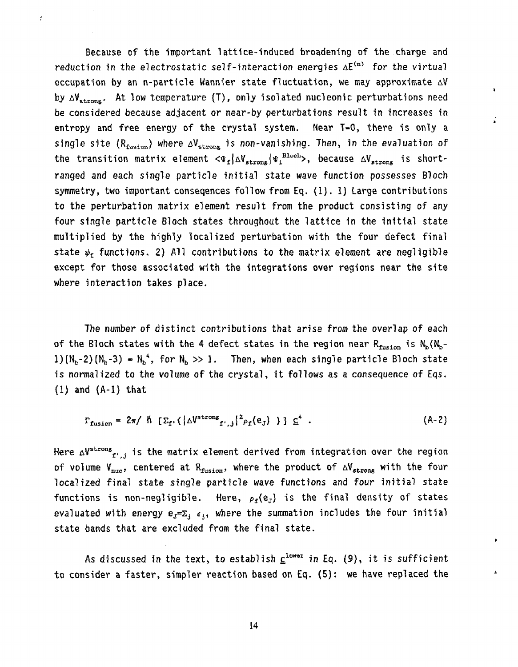Because of the important lattice-induced broadening of the charge and reduction in the electrostatic self-interaction energies  $\Delta E^{(n)}$  for the virtual occupation by an n-particle Wannier state fluctuation, we may approximate  $\Delta V$ by  $\Delta V_{\text{strong}}$ . At low temperature (T), only isolated nucleonic perturbations need be considered because adjacent or near-by perturbations result in increases in entropy and free energy of the crystal system. Near T=0, there is only a single site ( $R_{fusion}$ ) where  $\Delta V_{strong}$  is non-vanishing. Then, in the evaluation of the transition matrix element  $\langle \Psi_f | \Delta V_{\text{strong}} | \Psi_i^{\text{Bloch}} \rangle$ , because  $\Delta V_{\text{strong}}$  is shortranged and each single particle initial state wave function possesses Bloch symmetry, two important conseqences follow from Eq. (1). 1) Large contributions to the perturbation matrix element result from the product consisting of any four single particle Bloch states throughout the lattice in the initial state multiplied by the highly localized perturbation with the four defect final state  $\psi_r$  functions. 2) All contributions to the matrix element are negligible except for those associated with the integrations over regions near the site where interaction takes place.

 $\ddot{\phantom{a}}$ 

t

The number of distinct contributions that arise from the overlap of each of the Bloch states with the 4 defect states in the region near  $R_{fusion}$  is  $N_b(N_b (1)(N_b-2)(N_b-3) - N_b^4$ , for  $N_b \gg 1$ . Then, when each single particle Bloch state is normalized to the volume of the crystal, it follows as a consequence of Eqs. (1) and (A-1) that

$$
\Gamma_{\text{fusion}} = 2\pi / \hat{h} \left[ \Sigma_{\text{f}} \left( \left| \Delta V^{\text{strong}}_{\text{f}^{\prime},j} \right|^{2} \rho_{\text{f}}(e_{\text{J}}) \right] \right] \Sigma^{4} . \tag{A-2}
$$

Here  $\Delta V^{\text{strong}}$  is the matrix element derived from integration over the region of volume V<sub>nuc</sub>, centered at R<sub>fusion</sub>, where the product of  $\Delta V_{strong}$  with the four localized final state single particle wave functions and four initial state functions is non-negligible. Here,  $\rho_f(e_J)$  is the final density of states evaluated with energy  $e_{J} = \sum_{i} e_{j}$ , where the summation includes the four initial state bands that are excluded from the final state.

As discussed in the text, to establish  $c^{lower}$  in Eq. (9), it is sufficient to consider a faster, simpler reaction based on Eq. (5): we have replaced the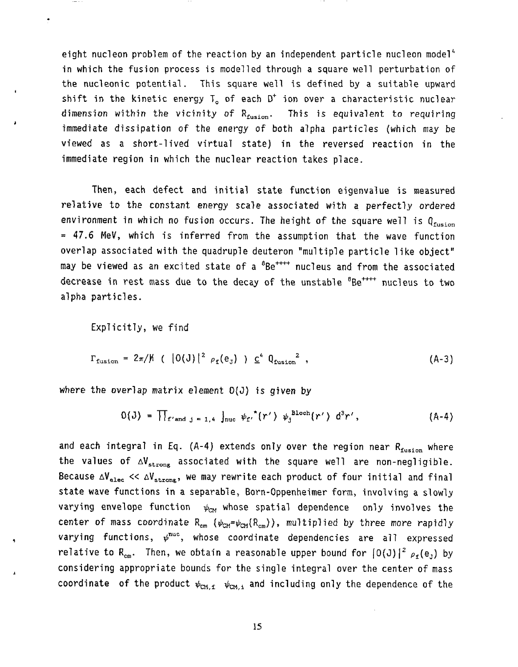eight nucleon problem of the reaction by an independent particle nucleon model<sup>4</sup> in which the fusion process is modelled through a square well perturbation of the nucleonic potential. This square well is defined by a suitable upward shift in the kinetic energy  $T_{o}$  of each  $D^{+}$  ion over a characteristic nuclear dimension within the vicinity of  $R_{fusion}$ . This is equivalent to requiring immediate dissipation of the energy of both alpha particles (which may be viewed as a short-lived virtual state) in the reversed reaction in the immediate region in which the nuclear reaction takes place.

Then, each defect and initial state function eigenvalue is measured relative to the constant energy scale associated with a perfectly ordered environment in which no fusion occurs. The height of the square well is Q<sub>fusion</sub> **<sup>=</sup>**47.6 MeV, which is inferred from the assumption that the wave function overlap associated with the quadruple deuteron "multiple particle like object" may be viewed as an excited state of a  ${}^{8}Be^{+++}$  nucleus and from the associated decrease in rest mass due to the decay of the unstable <sup>s</sup>Be<sup>++++</sup> nucleus to two alpha particles.

Explicitly, we find

$$
\Gamma_{\text{fusion}} = 2\pi/\mu \quad (|0(\text{J})|^2 \, \rho_{\text{f}}(e_{\text{J}}) \, ) \, \underline{c}^4 \, \theta_{\text{fusion}}^2 \,, \tag{A-3}
$$

where the overlap matrix element  $O(J)$  is given by

$$
0(J) = \prod_{f' \text{ and } j=1,4} \int_{\text{nuc}} \psi_{f'}^{\star}(r') \psi_{j}^{\text{Bloch}}(r') d^{3}r', \qquad (A-4)
$$

and each integral in Eq. (A-4) extends only over the region near  $R_{fusion}$  where the values of  $\Delta V_{\text{strong}}$  associated with the square well are non-negligible. Because  $\Delta V_{\text{alec}} \ll \Delta V_{\text{strang}}$ , we may rewrite each product of four initial and final state wave functions in a separable, Born-Oppenheimer form, involving a slowly varying envelope function  $\psi_{\text{CM}}$  whose spatial dependence only involves the center of mass coordinate R<sub>cm</sub> ( $\psi_{\text{CM}}=\psi_{\text{CM}}(R_{\text{cm}})$ ), multiplied by three more rapidly varying functions,  $\psi^{\text{nuc}}$ , whose coordinate dependencies are all expressed relative to R<sub>cm</sub>. Then, we obtain a reasonable upper bound for  $|0(J)|^2 \rho_f(e_J)$  by considering appropriate bounds for the single integral over the center of mass coordinate of the product  $\psi_{CM, f}$   $\psi_{CM, i}$  and including only the dependence of the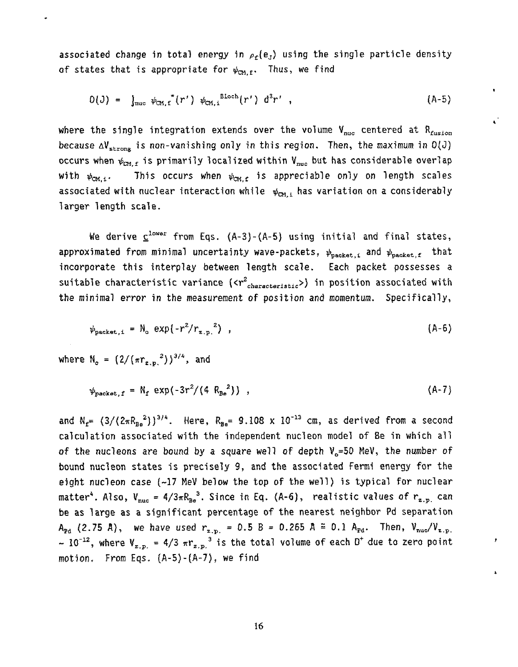associated change in total energy in  $\rho_{\rm f}(e_{\rm J})$  using the single particle density of states that is appropriate for  $\psi_{CM.f}$ . Thus, we find

$$
O(J) = \int_{\text{nuc}} \psi_{\text{CM},f}^{*}(r') \psi_{\text{CM},i}^{\text{Bloch}}(r') d^{3}r', \qquad (A-5)
$$

 $\blacksquare$ 

where the single integration extends over the volume  $V_{nuc}$  centered at R<sub>fusion</sub> because  $\Delta V_{\text{strong}}$  is non-vanishing only in this region. Then, the maximum in  $O(J)$ occurs when  $\psi_{CM, f}$  is primarily localized within  $V_{nuc}$  but has considerable overlap This occurs when  $\psi_{\text{CM},\text{f}}$  is appreciable only on length scales with  $\psi_{\text{CM},4}$ . associated with nuclear interaction while  $\psi_{\text{CM},1}$  has variation on a considerably larger length scale.

We derive  $\underline{c}^{\text{lower}}$  from Eqs. (A-3)-(A-5) using initial and final states, approximated from minimal uncertainty wave-packets,  $\psi_{\text{packet}, i}$  and  $\psi_{\text{packet}, f}$  that incorporate this interplay between length scale. Each packet possesses a suitable characteristic variance ( $\langle r^2_{characteristic} \rangle$ ) in position associated with the minimal error in the measurement of position and momentum. Specifically,

$$
\psi_{\text{packet},i} = N_{\text{o}} \exp(-r^2/r_{\text{z.p.}}^2), \qquad (A-6)
$$

where  $N_o = (2/(\pi r_{z.p.}^2))^{3/4}$ , and

$$
\psi_{\text{packet},f} = \mathsf{N}_f \exp(-3r^2/(4 \mathsf{R}_{\text{Be}}^2)) , \qquad (A-7)
$$

and  $N_{f} = (3/(2\pi R_{Ba}^2))^{3/4}$ . Here,  $R_{Ba} = 9.108 \times 10^{-13}$  cm, as derived from a second calculation associated with the independent nucleon model of Be in which all of the nucleons are bound by a square well of depth  $V_{0}$ =50 MeV, the number of bound nucleon states is precisely 9, and the associated Fermi energy for the eight nucleon case (-17 MeV below the top of the well) is typical for nuclear matter<sup>4</sup>. Also,  $V_{nuc} = 4/3\pi R_{Be}^3$ . Since in Eq. (A-6), realistic values of  $r_{z.p.}$  can be as large as a significant percentage of the nearest neighbor Pd separation  $A_{\text{Pd}}$  (2.75 A), we have used  $r_{\text{z.p.}} = 0.5$  B = 0.265 A = 0.1  $A_{\text{Pd}}$ . Then,  $V_{\text{nuc}}/V_{\text{z.p.}}$  $\sim 10^{-12}$ , where  $V_{z,p} = 4/3 \pi r_{z,p}^3$  is the total volume of each  $D^+$  due to zero point motion. From Eqs.  $(A-5)-(A-7)$ , we find